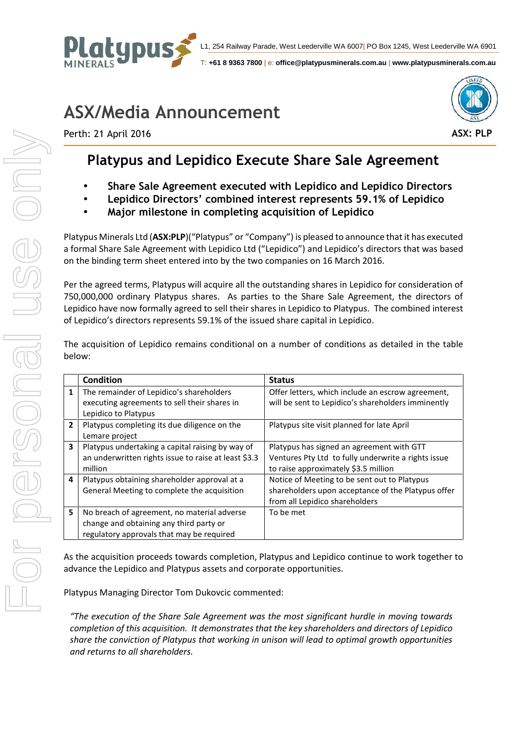

T: **+61 8 9363 7800** | e: **office@platypusminerals.com.au** | **www.platypusminerals.com.au**

## **ASX/Media Announcement**



Perth: 21 April 2016

## **Platypus and Lepidico Execute Share Sale Agreement**

- **Share Sale Agreement executed with Lepidico and Lepidico Directors**
- **Lepidico Directors' combined interest represents 59.1% of Lepidico**
- **Major milestone in completing acquisition of Lepidico**

Platypus Minerals Ltd (**ASX:PLP**)("Platypus" or "Company") is pleased to announce that it has executed a formal Share Sale Agreement with Lepidico Ltd ("Lepidico") and Lepidico's directors that was based on the binding term sheet entered into by the two companies on 16 March 2016.

Per the agreed terms, Platypus will acquire all the outstanding shares in Lepidico for consideration of 750,000,000 ordinary Platypus shares. As parties to the Share Sale Agreement, the directors of Lepidico have now formally agreed to sell their shares in Lepidico to Platypus. The combined interest of Lepidico's directors represents 59.1% of the issued share capital in Lepidico.

|   | <b>Condition</b>                                                                                                                    | <b>Status</b>                                                                                                                            |
|---|-------------------------------------------------------------------------------------------------------------------------------------|------------------------------------------------------------------------------------------------------------------------------------------|
| 1 | The remainder of Lepidico's shareholders<br>executing agreements to sell their shares in<br>Lepidico to Platypus                    | Offer letters, which include an escrow agreement,<br>will be sent to Lepidico's shareholders imminently                                  |
| 2 | Platypus completing its due diligence on the<br>Lemare project                                                                      | Platypus site visit planned for late April                                                                                               |
| 3 | Platypus undertaking a capital raising by way of<br>an underwritten rights issue to raise at least \$3.3<br>million                 | Platypus has signed an agreement with GTT<br>Ventures Pty Ltd to fully underwrite a rights issue<br>to raise approximately \$3.5 million |
| 4 | Platypus obtaining shareholder approval at a<br>General Meeting to complete the acquisition                                         | Notice of Meeting to be sent out to Platypus<br>shareholders upon acceptance of the Platypus offer<br>from all Lepidico shareholders     |
| 5 | No breach of agreement, no material adverse<br>change and obtaining any third party or<br>regulatory approvals that may be required | To be met                                                                                                                                |

The acquisition of Lepidico remains conditional on a number of conditions as detailed in the table below:

As the acquisition proceeds towards completion, Platypus and Lepidico continue to work together to advance the Lepidico and Platypus assets and corporate opportunities.

Platypus Managing Director Tom Dukovcic commented:

*"The execution of the Share Sale Agreement was the most significant hurdle in moving towards completion of this acquisition. It demonstrates that the key shareholders and directors of Lepidico share the conviction of Platypus that working in unison will lead to optimal growth opportunities and returns to all shareholders.*